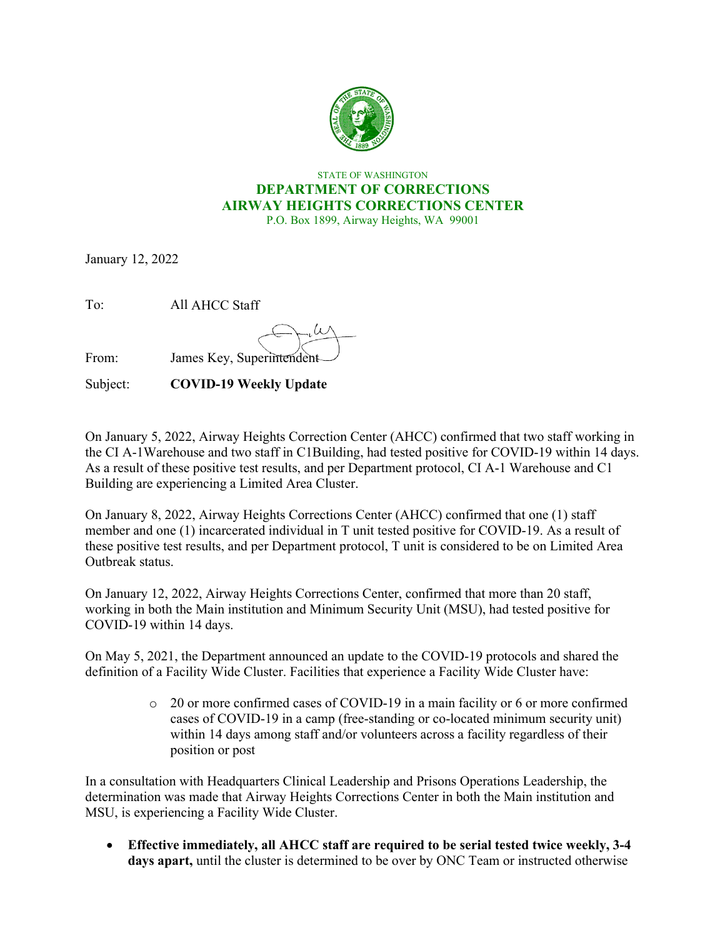

## STATE OF WASHINGTON **DEPARTMENT OF CORRECTIONS AIRWAY HEIGHTS CORRECTIONS CENTER** P.O. Box 1899, Airway Heights, WA 99001

January 12, 2022

To: All AHCC Staff

From: James Key, Superintendent

Subject: **COVID-19 Weekly Update** 

On January 5, 2022, Airway Heights Correction Center (AHCC) confirmed that two staff working in the CI A-1Warehouse and two staff in C1Building, had tested positive for COVID-19 within 14 days. As a result of these positive test results, and per Department protocol, CI A-1 Warehouse and C1 Building are experiencing a Limited Area Cluster.

On January 8, 2022, Airway Heights Corrections Center (AHCC) confirmed that one (1) staff member and one (1) incarcerated individual in T unit tested positive for COVID-19. As a result of these positive test results, and per Department protocol, T unit is considered to be on Limited Area Outbreak status.

On January 12, 2022, Airway Heights Corrections Center, confirmed that more than 20 staff, working in both the Main institution and Minimum Security Unit (MSU), had tested positive for COVID-19 within 14 days.

On May 5, 2021, the Department announced an update to the COVID-19 protocols and shared the definition of a Facility Wide Cluster. Facilities that experience a Facility Wide Cluster have:

> o 20 or more confirmed cases of COVID-19 in a main facility or 6 or more confirmed cases of COVID-19 in a camp (free-standing or co-located minimum security unit) within 14 days among staff and/or volunteers across a facility regardless of their position or post

In a consultation with Headquarters Clinical Leadership and Prisons Operations Leadership, the determination was made that Airway Heights Corrections Center in both the Main institution and MSU, is experiencing a Facility Wide Cluster.

• **Effective immediately, all AHCC staff are required to be serial tested twice weekly, 3-4 days apart,** until the cluster is determined to be over by ONC Team or instructed otherwise